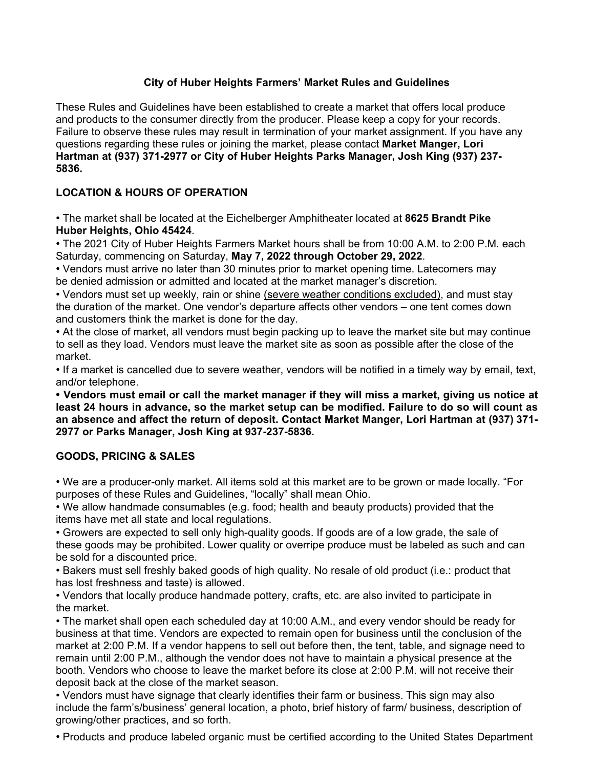# **City of Huber Heights Farmers' Market Rules and Guidelines**

These Rules and Guidelines have been established to create a market that offers local produce and products to the consumer directly from the producer. Please keep a copy for your records. Failure to observe these rules may result in termination of your market assignment. If you have any questions regarding these rules or joining the market, please contact **Market Manger, Lori Hartman at (937) 371-2977 or City of Huber Heights Parks Manager, Josh King (937) 237- 5836.** 

# **LOCATION & HOURS OF OPERATION**

• The market shall be located at the Eichelberger Amphitheater located at **8625 Brandt Pike Huber Heights, Ohio 45424**.

• The 2021 City of Huber Heights Farmers Market hours shall be from 10:00 A.M. to 2:00 P.M. each Saturday, commencing on Saturday, **May 7, 2022 through October 29, 2022**.

• Vendors must arrive no later than 30 minutes prior to market opening time. Latecomers may be denied admission or admitted and located at the market manager's discretion.

• Vendors must set up weekly, rain or shine (severe weather conditions excluded), and must stay the duration of the market. One vendor's departure affects other vendors – one tent comes down and customers think the market is done for the day.

• At the close of market, all vendors must begin packing up to leave the market site but may continue to sell as they load. Vendors must leave the market site as soon as possible after the close of the market.

• If a market is cancelled due to severe weather, vendors will be notified in a timely way by email, text, and/or telephone.

**• Vendors must email or call the market manager if they will miss a market, giving us notice at least 24 hours in advance, so the market setup can be modified. Failure to do so will count as an absence and affect the return of deposit. Contact Market Manger, Lori Hartman at (937) 371- 2977 or Parks Manager, Josh King at 937-237-5836.** 

## **GOODS, PRICING & SALES**

• We are a producer-only market. All items sold at this market are to be grown or made locally. "For purposes of these Rules and Guidelines, "locally" shall mean Ohio.

• We allow handmade consumables (e.g. food; health and beauty products) provided that the items have met all state and local regulations.

• Growers are expected to sell only high-quality goods. If goods are of a low grade, the sale of these goods may be prohibited. Lower quality or overripe produce must be labeled as such and can be sold for a discounted price.

• Bakers must sell freshly baked goods of high quality. No resale of old product (i.e.: product that has lost freshness and taste) is allowed.

• Vendors that locally produce handmade pottery, crafts, etc. are also invited to participate in the market.

• The market shall open each scheduled day at 10:00 A.M., and every vendor should be ready for business at that time. Vendors are expected to remain open for business until the conclusion of the market at 2:00 P.M. If a vendor happens to sell out before then, the tent, table, and signage need to remain until 2:00 P.M., although the vendor does not have to maintain a physical presence at the booth. Vendors who choose to leave the market before its close at 2:00 P.M. will not receive their deposit back at the close of the market season.

• Vendors must have signage that clearly identifies their farm or business. This sign may also include the farm's/business' general location, a photo, brief history of farm/ business, description of growing/other practices, and so forth.

• Products and produce labeled organic must be certified according to the United States Department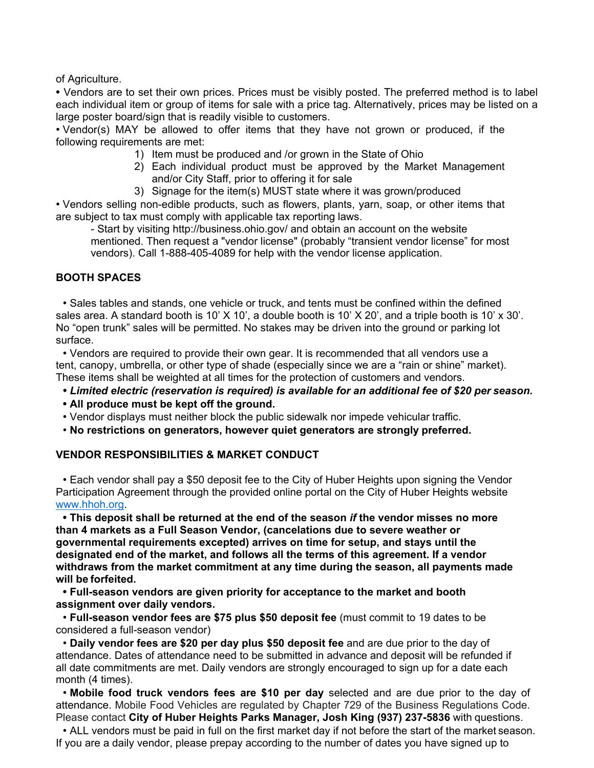of Agriculture.

**•** Vendors are to set their own prices. Prices must be visibly posted. The preferred method is to label each individual item or group of items for sale with a price tag. Alternatively, prices may be listed on a large poster board/sign that is readily visible to customers.

• Vendor(s) MAY be allowed to offer items that they have not grown or produced, if the following requirements are met:

- 1) Item must be produced and /or grown in the State of Ohio
- 2) Each individual product must be approved by the Market Management and/or City Staff, prior to offering it for sale
- 3) Signage for the item(s) MUST state where it was grown/produced

• Vendors selling non-edible products, such as flowers, plants, yarn, soap, or other items that are subject to tax must comply with applicable tax reporting laws.

- Start by visiting http://business.ohio.gov/ and obtain an account on the website mentioned. Then request a "vendor license" (probably "transient vendor license" for most vendors). Call 1-888-405-4089 for help with the vendor license application.

## **BOOTH SPACES**

• Sales tables and stands, one vehicle or truck, and tents must be confined within the defined sales area. A standard booth is 10' X 10', a double booth is 10' X 20', and a triple booth is 10' x 30'. No "open trunk" sales will be permitted. No stakes may be driven into the ground or parking lot surface.

• Vendors are required to provide their own gear. It is recommended that all vendors use a tent, canopy, umbrella, or other type of shade (especially since we are a "rain or shine" market). These items shall be weighted at all times for the protection of customers and vendors.

- *• Limited electric (reservation is required) is available for an additional fee of \$20 per season.*
- **• All produce must be kept off the ground.**
- Vendor displays must neither block the public sidewalk nor impede vehicular traffic.
- **No restrictions on generators, however quiet generators are strongly preferred.**

#### **VENDOR RESPONSIBILITIES & MARKET CONDUCT**

• Each vendor shall pay a \$50 deposit fee to the City of Huber Heights upon signing the Vendor Participation Agreement through the provided online portal on the City of Huber Heights website www.hhoh.org.

**• This deposit shall be returned at the end of the season** *if* **the vendor misses no more than 4 markets as a Full Season Vendor, (cancelations due to severe weather or governmental requirements excepted) arrives on time for setup, and stays until the designated end of the market, and follows all the terms of this agreement. If a vendor withdraws from the market commitment at any time during the season, all payments made will be forfeited.** 

**• Full-season vendors are given priority for acceptance to the market and booth assignment over daily vendors.** 

• **Full-season vendor fees are \$75 plus \$50 deposit fee** (must commit to 19 dates to be considered a full-season vendor)

• **Daily vendor fees are \$20 per day plus \$50 deposit fee** and are due prior to the day of attendance. Dates of attendance need to be submitted in advance and deposit will be refunded if all date commitments are met. Daily vendors are strongly encouraged to sign up for a date each month (4 times).

• **Mobile food truck vendors fees are \$10 per day** selected and are due prior to the day of attendance. Mobile Food Vehicles are regulated by Chapter 729 of the Business Regulations Code. Please contact **City of Huber Heights Parks Manager, Josh King (937) 237-5836** with questions.

• ALL vendors must be paid in full on the first market day if not before the start of the market season. If you are a daily vendor, please prepay according to the number of dates you have signed up to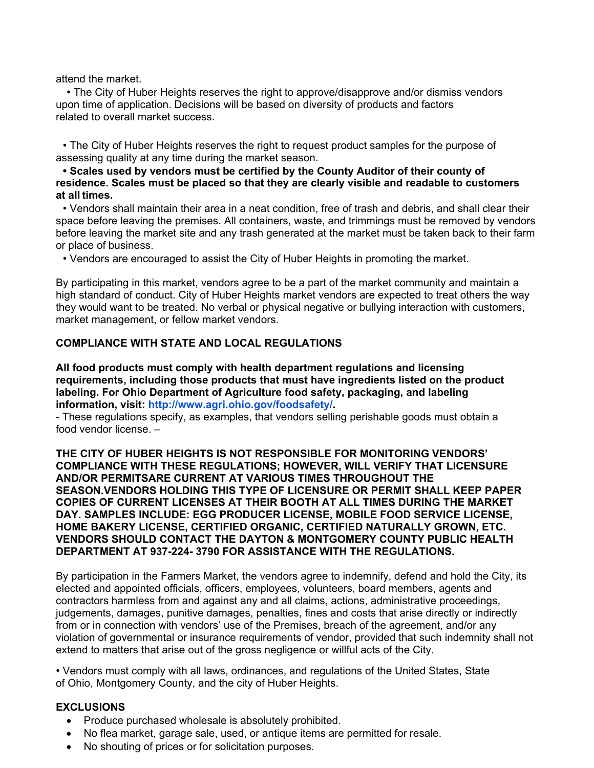attend the market.

• The City of Huber Heights reserves the right to approve/disapprove and/or dismiss vendors upon time of application. Decisions will be based on diversity of products and factors related to overall market success.

• The City of Huber Heights reserves the right to request product samples for the purpose of assessing quality at any time during the market season.

**• Scales used by vendors must be certified by the County Auditor of their county of residence. Scales must be placed so that they are clearly visible and readable to customers at all times.** 

• Vendors shall maintain their area in a neat condition, free of trash and debris, and shall clear their space before leaving the premises. All containers, waste, and trimmings must be removed by vendors before leaving the market site and any trash generated at the market must be taken back to their farm or place of business.

• Vendors are encouraged to assist the City of Huber Heights in promoting the market.

By participating in this market, vendors agree to be a part of the market community and maintain a high standard of conduct. City of Huber Heights market vendors are expected to treat others the way they would want to be treated. No verbal or physical negative or bullying interaction with customers, market management, or fellow market vendors.

## **COMPLIANCE WITH STATE AND LOCAL REGULATIONS**

**All food products must comply with health department regulations and licensing requirements, including those products that must have ingredients listed on the product labeling. For Ohio Department of Agriculture food safety, packaging, and labeling information, visit: http://www.agri.ohio.gov/foodsafety/.** 

- These regulations specify, as examples, that vendors selling perishable goods must obtain a food vendor license. –

**THE CITY OF HUBER HEIGHTS IS NOT RESPONSIBLE FOR MONITORING VENDORS' COMPLIANCE WITH THESE REGULATIONS; HOWEVER, WILL VERIFY THAT LICENSURE AND/OR PERMITSARE CURRENT AT VARIOUS TIMES THROUGHOUT THE SEASON.VENDORS HOLDING THIS TYPE OF LICENSURE OR PERMIT SHALL KEEP PAPER COPIES OF CURRENT LICENSES AT THEIR BOOTH AT ALL TIMES DURING THE MARKET DAY. SAMPLES INCLUDE: EGG PRODUCER LICENSE, MOBILE FOOD SERVICE LICENSE, HOME BAKERY LICENSE, CERTIFIED ORGANIC, CERTIFIED NATURALLY GROWN, ETC. VENDORS SHOULD CONTACT THE DAYTON & MONTGOMERY COUNTY PUBLIC HEALTH DEPARTMENT AT 937-224- 3790 FOR ASSISTANCE WITH THE REGULATIONS.** 

By participation in the Farmers Market, the vendors agree to indemnify, defend and hold the City, its elected and appointed officials, officers, employees, volunteers, board members, agents and contractors harmless from and against any and all claims, actions, administrative proceedings, judgements, damages, punitive damages, penalties, fines and costs that arise directly or indirectly from or in connection with vendors' use of the Premises, breach of the agreement, and/or any violation of governmental or insurance requirements of vendor, provided that such indemnity shall not extend to matters that arise out of the gross negligence or willful acts of the City.

• Vendors must comply with all laws, ordinances, and regulations of the United States, State of Ohio, Montgomery County, and the city of Huber Heights.

#### **EXCLUSIONS**

- Produce purchased wholesale is absolutely prohibited.
- No flea market, garage sale, used, or antique items are permitted for resale.
- No shouting of prices or for solicitation purposes.